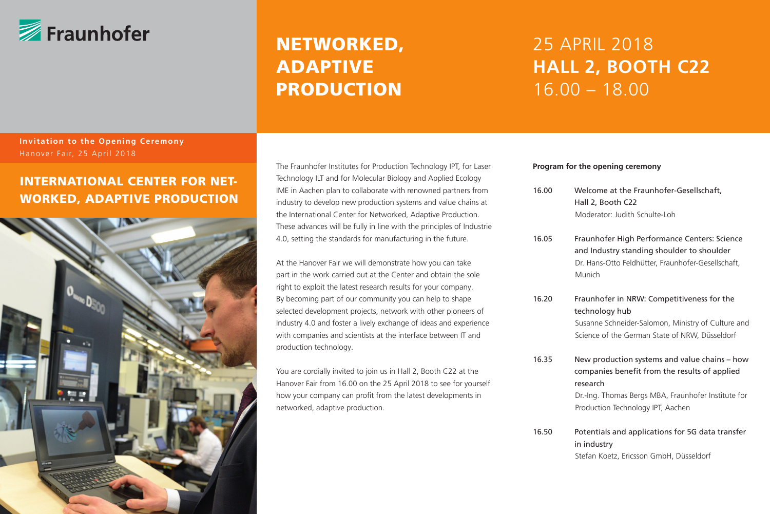

# NETWORKED, ADAPTIVE PRODUCTION

# 25 APRIL 2018 **HALL 2, BOOTH C22** 16.00 – 18.00

### **Invitation to the Opening Ceremony** Hanover Fair, 25 April 2018

## INTERNATIONAL CENTER FOR NET-WORKED, ADAPTIVE PRODUCTION



The Fraunhofer Institutes for Production Technology IPT, for Laser Technology ILT and for Molecular Biology and Applied Ecology IME in Aachen plan to collaborate with renowned partners from industry to develop new production systems and value chains at the International Center for Networked, Adaptive Production. These advances will be fully in line with the principles of Industrie 4.0, setting the standards for manufacturing in the future.

At the Hanover Fair we will demonstrate how you can take part in the work carried out at the Center and obtain the sole right to exploit the latest research results for your company. By becoming part of our community you can help to shape selected development projects, network with other pioneers of Industry 4.0 and foster a lively exchange of ideas and experience with companies and scientists at the interface between IT and production technology.

You are cordially invited to join us in Hall 2, Booth C22 at the Hanover Fair from 16.00 on the 25 April 2018 to see for yourself how your company can profit from the latest developments in networked, adaptive production.

#### **Program for the opening ceremony**

- 16.00 Welcome at the Fraunhofer-Gesellschaft, Hall 2, Booth C22 Moderator: Judith Schulte-Loh
- 16.05 Fraunhofer High Performance Centers: Science and Industry standing shoulder to shoulder Dr. Hans-Otto Feldhütter, Fraunhofer-Gesellschaft, Munich
- 16.20 Fraunhofer in NRW: Competitiveness for the technology hub Susanne Schneider-Salomon, Ministry of Culture and Science of the German State of NRW, Düsseldorf
- 16.35 New production systems and value chains how companies benefit from the results of applied research

 Dr.-Ing. Thomas Bergs MBA, Fraunhofer Institute for Production Technology IPT, Aachen

16.50 Potentials and applications for 5G data transfer in industry Stefan Koetz, Ericsson GmbH, Düsseldorf